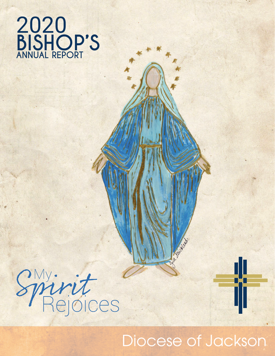**BISHOP'S ANNUAL REPORT** 2020



# Diocese of Jackson

Milleton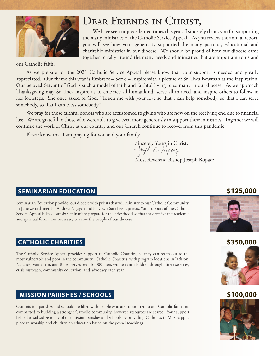

## DEAR FRIENDS IN CHRIST,

We have seen unprecedented times this year. I sincerely thank you for supporting the many ministries of the Catholic Service Appeal. As you review the annual report, you will see how your generosity supported the many pastoral, educational and charitable ministries in our diocese. We should be proud of how our diocese came together to rally around the many needs and ministries that are important to us and

our Catholic faith.

As we prepare for the 2021 Catholic Service Appeal please know that your support is needed and greatly appreciated. Our theme this year is Embrace – Serve – Inspire with a picture of Sr. Thea Bowman as the inspiration. Our beloved Servant of God is such a model of faith and faithful living to so many in our diocese. As we approach Thanksgiving may Sr. Thea inspire us to embrace all humankind, serve all in need, and inspire others to follow in her footsteps. She once asked of God, "Touch me with your love so that I can help somebody, so that I can serve somebody, so that I can bless somebody."

We pray for those faithful donors who are accustomed to giving who are now on the receiving end due to financial loss. We are grateful to those who were able to give even more generously to support these ministries. Together we will continue the work of Christ as our country and our Church continue to recover from this pandemic.

Please know that I am praying for you and your family.

Sincerely Yours in Christ,<br>+ Jouph R. Kopuz Most Reverend Bishop Joseph Kopacz

### **SEMINARIAN EDUCATION \$125,000**

Seminarian Education provides our diocese with priests that will minister to our Catholic Community. In June we ordained Fr. Andrew Nguyen and Fr. Cesar Sanchez as priests. Your support of the Catholic Service Appeal helped our six seminarians prepare for the priesthood so that they receive the academic and spiritual formation necessary to serve the people of our diocese.

### **CATHOLIC CHARITIES 1999 12:000 12:000 12:000 12:000 12:000 12:000 12:000 12:000 12:000 12:000 12:000 12:00:000**

The Catholic Service Appeal provides support to Catholic Charities, so they can reach out to the most vulnerable and poor in the community. Catholic Charities, with program locations in Jackson, Natchez, Vardaman, and Biloxi serves over 16,000 men, women and children through direct services, crisis outreach, community education, and advocacy each year.

### **MISSION PARISHES / SCHOOLS \$100,000**

Our mission parishes and schools are filled with people who are committed to our Catholic faith and committed to building a stronger Catholic community, however, resources are scarce. Your support helped to subsidize many of our mission parishes and schools by providing Catholics in Mississippi a place to worship and children an education based on the gospel teachings.



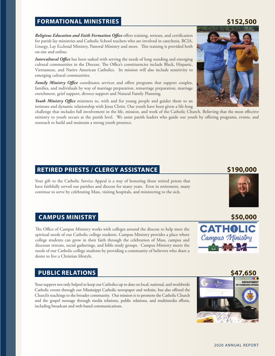#### **FORMATIONAL MINISTRIES 1999 5152,500**

#### *Religious Education and Faith Formation Office* offers training, retreats, and certification for parish lay ministries and Catholic School teachers who are involved in catechesis, RCIA, Liturgy, Lay Ecclesial Ministry, Pastoral Ministry and more. This training is provided both on-site and online.

*Intercultural Office* has been tasked with serving the needs of long standing and emerging cultural communities in the Diocese. The Office's constituencies include Black, Hispanic, Vietnamese, and Native American Catholics. Its mission will also include sensitivity to emerging cultural communities.

*Family Ministry Office* coordinates services and offers programs that support couples, families, and individuals by way of marriage preparation, remarriage preparation, marriage enrichment, grief support, divorce support and Natural Family Planning.

*Youth Ministry Office* ministers to, with and for young people and guides them to an intimate and dynamic relationship with Jesus Christ. Our youth have been given a life-long

challenge that includes full involvement in the life, mission, and work of the Catholic Church. Believing that the most effective ministry to youth occurs at the parish level. We assist parish leaders who guide our youth by offering programs, events, and outreach to build and maintain a strong youth presence.

### **RETIRED PRIESTS / CLERGY ASSISTANCE \$190,000**

Your gift to the Catholic Service Appeal is a way of honoring those retired priests that have faithfully served our parishes and diocese for many years. Even in retirement, many continue to serve by celebrating Mass, visiting hospitals, and ministering to the sick.

### **CAMPUS MINISTRY 1999 12:000 12:000 12:000 12:000 12:00:00 12:00:00 12:00:00 12:00:00 12:00:00 12:00:00 12:00:00 12:00:00 12:00:00 12:00:00 12:00:00 12:00:00 12:00:00 12:00:00 12:00:00 12:00:00 12:00:00 12:00:00 12:00:00**

The Office of Campus Ministry works with colleges around the diocese to help meet the spiritual needs of our Catholic college students. Campus Ministry provides a place where college students can grow in their faith through the celebration of Mass, campus and diocesan retreats, social gatherings, and bible study groups. Campus Ministry meets the needs of our Catholic college students by providing a community of believers who share a desire to live a Christian lifestyle.

### **PUBLIC RELATIONS \$47,650**

Your support not only helped to keep our Catholics up to date on local, national, and worldwide Catholic events through our Mississippi Catholic newspaper and website, but also offered the Church's teachings to the broader community. Our mission is to promote the Catholic Church and the gospel message through media relations, public relations, and multimedia efforts, including broadcast and web-based communications.

DEPARTMENT

#### 2020 ANNUAL REPORT